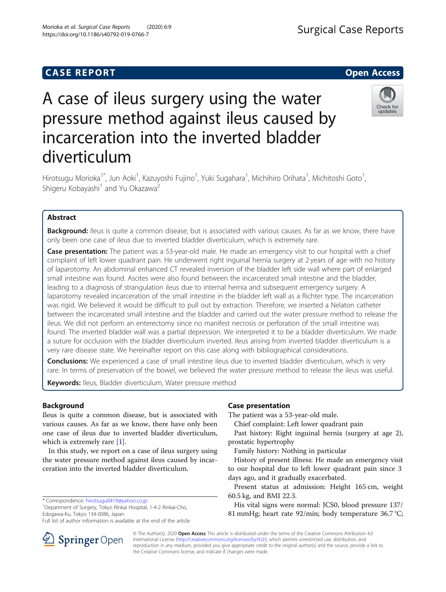## **CASE REPORT And SERVICE SERVICE SERVICE SERVICE SERVICE SERVICE SERVICE SERVICE SERVICE SERVICE SERVICE SERVICE**

# A case of ileus surgery using the water pressure method against ileus caused by incarceration into the inverted bladder diverticulum

Hirotsugu Morioka<sup>1\*</sup>, Jun Aoki<sup>1</sup>, Kazuyoshi Fujino<sup>1</sup>, Yuki Sugahara<sup>1</sup>, Michihiro Orihata<sup>1</sup>, Michitoshi Goto<sup>1</sup> , Shigeru Kobayashi<sup>1</sup> and Yu Okazawa<sup>2</sup>

## Abstract

Background: Ileus is quite a common disease, but is associated with various causes. As far as we know, there have only been one case of ileus due to inverted bladder diverticulum, which is extremely rare.

Case presentation: The patient was a 53-year-old male. He made an emergency visit to our hospital with a chief complaint of left lower quadrant pain. He underwent right inguinal hernia surgery at 2 years of age with no history of laparotomy. An abdominal enhanced CT revealed inversion of the bladder left side wall where part of enlarged small intestine was found. Ascites were also found between the incarcerated small intestine and the bladder, leading to a diagnosis of strangulation ileus due to internal hernia and subsequent emergency surgery. A laparotomy revealed incarceration of the small intestine in the bladder left wall as a Richter type. The incarceration was rigid. We believed it would be difficult to pull out by extraction. Therefore, we inserted a Nelaton catheter between the incarcerated small intestine and the bladder and carried out the water pressure method to release the ileus. We did not perform an enterectomy since no manifest necrosis or perforation of the small intestine was found. The inverted bladder wall was a partial depression. We interpreted it to be a bladder diverticulum. We made a suture for occlusion with the bladder diverticulum inverted. Ileus arising from inverted bladder diverticulum is a very rare disease state. We hereinafter report on this case along with bibliographical considerations.

**Conclusions:** We experienced a case of small intestine ileus due to inverted bladder diverticulum, which is very rare. In terms of preservation of the bowel, we believed the water pressure method to release the ileus was useful.

Keywords: Ileus, Bladder diverticulum, Water pressure method

## Background

Ileus is quite a common disease, but is associated with various causes. As far as we know, there have only been one case of ileus due to inverted bladder diverticulum, which is extremely rare [[1](#page-4-0)].

In this study, we report on a case of ileus surgery using the water pressure method against ileus caused by incarceration into the inverted bladder diverticulum.

\* Correspondence: [hirotsugu0419@yahoo.co.jp](mailto:hirotsugu0419@yahoo.co.jp) <sup>1</sup>

**Springer** Open

Department of Surgery, Tokyo Rinkai Hospital, 1-4-2 Rinkai-Cho, Edogawa-Ku, Tokyo 134-0086, Japan

Full list of author information is available at the end of the article

## Case presentation

The patient was a 53-year-old male.

Chief complaint: Left lower quadrant pain

Past history: Right inguinal hernia (surgery at age 2), prostatic hypertrophy

Family history: Nothing in particular

History of present illness: He made an emergency visit to our hospital due to left lower quadrant pain since 3 days ago, and it gradually exacerbated.

Present status at admission: Height 165 cm, weight 60.5 kg, and BMI 22.3.

His vital signs were normal: JCS0, blood pressure 137/ 81 mmHg; heart rate 92/min; body temperature 36.7 °C;

© The Author(s). 2020 Open Access This article is distributed under the terms of the Creative Commons Attribution 4.0 International License ([http://creativecommons.org/licenses/by/4.0/\)](http://creativecommons.org/licenses/by/4.0/), which permits unrestricted use, distribution, and reproduction in any medium, provided you give appropriate credit to the original author(s) and the source, provide a link to the Creative Commons license, and indicate if changes were made.





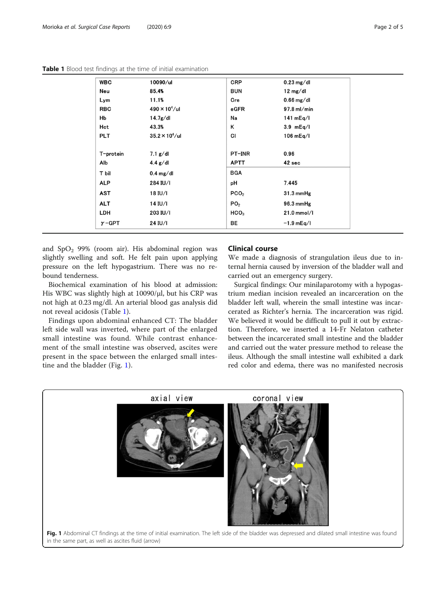| <b>WBC</b>    | 10090/ul               | <b>CRP</b>       | $0.23$ mg/dl       |
|---------------|------------------------|------------------|--------------------|
| Neu           | 85.4%                  | <b>BUN</b>       | $12 \text{ mg/dl}$ |
| Lym           | 11.1%                  | Cre              | $0.66$ mg/dl       |
| <b>RBC</b>    | $490 \times 10^4$ /ul  | $e$ GFR          | $97.8$ ml/min      |
| Hb            | 14.7g/dl               | Na               | 141 $mEq/I$        |
| Hct           | 43.3%                  | κ                | $3.9$ mEq/l        |
| <b>PLT</b>    | $35.2 \times 10^4$ /ul | CI               | $106$ mEq/l        |
|               |                        |                  |                    |
| T-protein     | 7.1 g/dl               | PT-INR           | 0.96               |
| Alb           | $4.4$ g/dl             | <b>APTT</b>      | 42 sec             |
| T bil         | $0.4 \text{ mg/dl}$    | <b>BGA</b>       |                    |
| <b>ALP</b>    | 284 IU/I               | рH               | 7.445              |
| AST           | 18 IU/I                | PCO <sub>2</sub> | $31.3$ mmHg        |
| <b>ALT</b>    | 14 IU/I                | PO <sub>2</sub>  | 96.3 mmHg          |
| LDH           | 203 IU/I               | HCO <sub>3</sub> | 21.0 mmol/l        |
| $\gamma$ -GPT | 24 IU/I                | BE               | $-1.9$ mEq/l       |
|               |                        |                  |                    |

and  $SpO<sub>2</sub>$  99% (room air). His abdominal region was slightly swelling and soft. He felt pain upon applying pressure on the left hypogastrium. There was no rebound tenderness.

Biochemical examination of his blood at admission: His WBC was slightly high at 10090/μl, but his CRP was not high at 0.23 mg/dl. An arterial blood gas analysis did not reveal acidosis (Table 1).

Findings upon abdominal enhanced CT: The bladder left side wall was inverted, where part of the enlarged small intestine was found. While contrast enhancement of the small intestine was observed, ascites were present in the space between the enlarged small intestine and the bladder (Fig. 1).

### Clinical course

We made a diagnosis of strangulation ileus due to internal hernia caused by inversion of the bladder wall and carried out an emergency surgery.

Surgical findings: Our minilaparotomy with a hypogastrium median incision revealed an incarceration on the bladder left wall, wherein the small intestine was incarcerated as Richter's hernia. The incarceration was rigid. We believed it would be difficult to pull it out by extraction. Therefore, we inserted a 14-Fr Nelaton catheter between the incarcerated small intestine and the bladder and carried out the water pressure method to release the ileus. Although the small intestine wall exhibited a dark red color and edema, there was no manifested necrosis

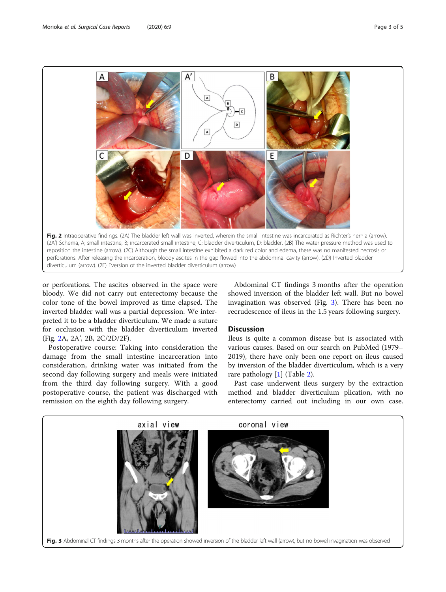

diverticulum (arrow). (2E) Eversion of the inverted bladder diverticulum (arrow)

or perforations. The ascites observed in the space were bloody. We did not carry out enterectomy because the color tone of the bowel improved as time elapsed. The inverted bladder wall was a partial depression. We interpreted it to be a bladder diverticulum. We made a suture for occlusion with the bladder diverticulum inverted (Fig. 2A, 2A', 2B, 2C/2D/2F).

Postoperative course: Taking into consideration the damage from the small intestine incarceration into consideration, drinking water was initiated from the second day following surgery and meals were initiated from the third day following surgery. With a good postoperative course, the patient was discharged with remission on the eighth day following surgery.

Abdominal CT findings 3 months after the operation showed inversion of the bladder left wall. But no bowel invagination was observed (Fig. 3). There has been no recrudescence of ileus in the 1.5 years following surgery.

#### **Discussion**

Ileus is quite a common disease but is associated with various causes. Based on our search on PubMed (1979– 2019), there have only been one report on ileus caused by inversion of the bladder diverticulum, which is a very rare pathology [[1\]](#page-4-0) (Table [2\)](#page-3-0).

Past case underwent ileus surgery by the extraction method and bladder diverticulum plication, with no enterectomy carried out including in our own case.

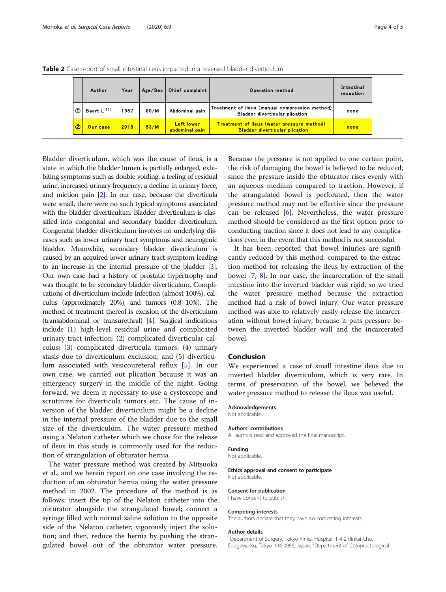|                | Author                 | Year | Age / Sex | Chief complaint                     | Operation method                                                                           | Intestinal<br>resection |
|----------------|------------------------|------|-----------|-------------------------------------|--------------------------------------------------------------------------------------------|-------------------------|
| Œ              | Baert L <sup>[1]</sup> | 1987 | 50/M      | Abdominal pain                      | Treatment of ileus (manual compression method)<br><b>Bladder diverticular plication</b>    | none                    |
| $\circledcirc$ | Our case               | 2018 | 53/M      | <b>Left lower</b><br>abdominal pain | <b>Treatment of ileus (water pressure method)</b><br><b>Bladder diverticular plication</b> | none                    |

<span id="page-3-0"></span>Table 2 Case report of small intestinal ileus impacted in a reversed bladder diverticulum

Bladder diverticulum, which was the cause of ileus, is a state in which the bladder lumen is partially enlarged, exhibiting symptoms such as double voiding, a feeling of residual urine, increased urinary frequency, a decline in urinary force, and miction pain [\[2\]](#page-4-0). In our case, because the diverticula were small, there were no such typical symptoms associated with the bladder diverticulum. Bladder diverticulum is classified into congenital and secondary bladder diverticulum. Congenital bladder diverticulum involves no underlying diseases such as lower urinary tract symptoms and neurogenic bladder. Meanwhile, secondary bladder diverticulum is caused by an acquired lower urinary tract symptom leading to an increase in the internal pressure of the bladder [\[3\]](#page-4-0). Our own case had a history of prostatic hypertrophy and was thought to be secondary bladder diverticulum. Complications of diverticulum include infection (almost 100%), calculus (approximately 20%), and tumors (0.8–10%). The method of treatment thereof is excision of the diverticulum (transabdominal or transurethral) [\[4](#page-4-0)]. Surgical indications include (1) high-level residual urine and complicated urinary tract infection; (2) complicated diverticular calculus; (3) complicated diverticula tumors; (4) urinary stasis due to diverticulum exclusion; and (5) diverticulum associated with vesicoureteral reflux [[5\]](#page-4-0). In our own case, we carried out plication because it was an emergency surgery in the middle of the night. Going forward, we deem it necessary to use a cystoscope and scrutinize for diverticula tumors etc. The cause of inversion of the bladder diverticulum might be a decline in the internal pressure of the bladder due to the small size of the diverticulum. The water pressure method using a Nelaton catheter which we chose for the release of ileus in this study is commonly used for the reduction of strangulation of obturator hernia.

The water pressure method was created by Mitsuoka et al., and we herein report on one case involving the reduction of an obturator hernia using the water pressure method in 2002. The procedure of the method is as follows: insert the tip of the Nelaton catheter into the obturator alongside the strangulated bowel; connect a syringe filled with normal saline solution to the opposite side of the Nelaton catheter; vigorously inject the solution; and then, reduce the hernia by pushing the strangulated bowel out of the obturator water pressure.

Because the pressure is not applied to one certain point, the risk of damaging the bowel is believed to be reduced, since the pressure inside the obturator rises evenly with an aqueous medium compared to traction. However, if the strangulated bowel is perforated, then the water pressure method may not be effective since the pressure can be released  $[6]$  $[6]$ . Nevertheless, the water pressure method should be considered as the first option prior to conducting traction since it does not lead to any complications even in the event that this method is not successful.

It has been reported that bowel injuries are significantly reduced by this method, compared to the extraction method for releasing the ileus by extraction of the bowel [[7,](#page-4-0) [8\]](#page-4-0). In our case, the incarceration of the small intestine into the inverted bladder was rigid, so we tried the water pressure method because the extraction method had a risk of bowel injury. Our water pressure method was able to relatively easily release the incarceration without bowel injury, because it puts pressure between the inverted bladder wall and the incarcerated bowel.

## Conclusion

We experienced a case of small intestine ileus due to inverted bladder diverticulum, which is very rare. In terms of preservation of the bowel, we believed the water pressure method to release the ileus was useful.

#### Acknowledgements

Not applicable.

#### Authors' contributions

All authors read and approved the final manuscript.

#### Funding

Not applicable.

#### Ethics approval and consent to participate Not applicable.

#### Consent for publication

I have consent to publish.

#### Competing interests

The authors declare that they have no competing interests.

#### Author details

<sup>1</sup>Department of Surgery, Tokyo Rinkai Hospital, 1-4-2 Rinkai-Cho, Edogawa-Ku, Tokyo 134-0086, Japan. <sup>2</sup>Department of Coloproctological